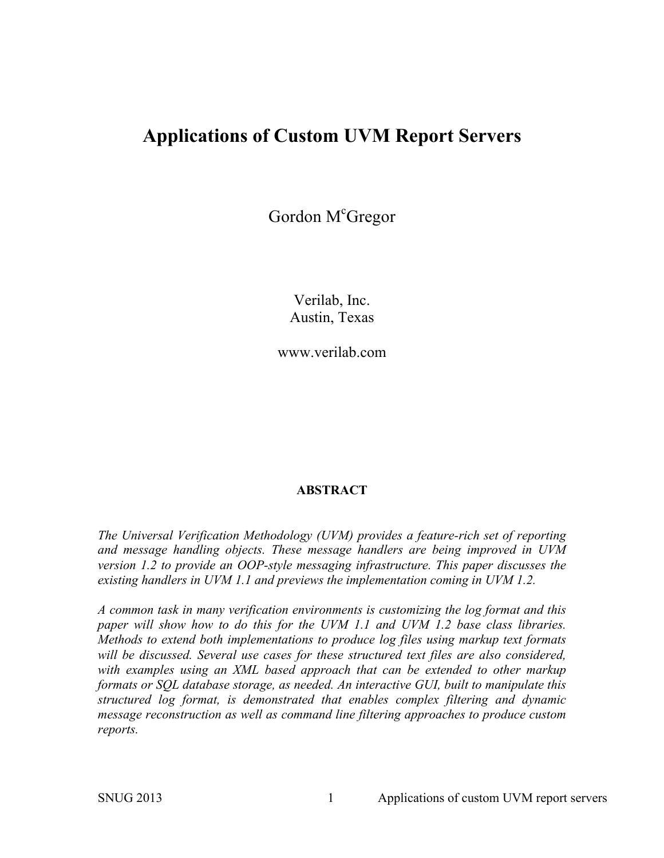# **Applications of Custom UVM Report Servers**

Gordon M<sup>c</sup>Gregor

Verilab, Inc. Austin, Texas

www.verilab.com

#### **ABSTRACT**

*The Universal Verification Methodology (UVM) provides a feature-rich set of reporting and message handling objects. These message handlers are being improved in UVM version 1.2 to provide an OOP-style messaging infrastructure. This paper discusses the existing handlers in UVM 1.1 and previews the implementation coming in UVM 1.2.* 

*A common task in many verification environments is customizing the log format and this paper will show how to do this for the UVM 1.1 and UVM 1.2 base class libraries. Methods to extend both implementations to produce log files using markup text formats will be discussed. Several use cases for these structured text files are also considered, with examples using an XML based approach that can be extended to other markup formats or SQL database storage, as needed. An interactive GUI, built to manipulate this structured log format, is demonstrated that enables complex filtering and dynamic message reconstruction as well as command line filtering approaches to produce custom reports.*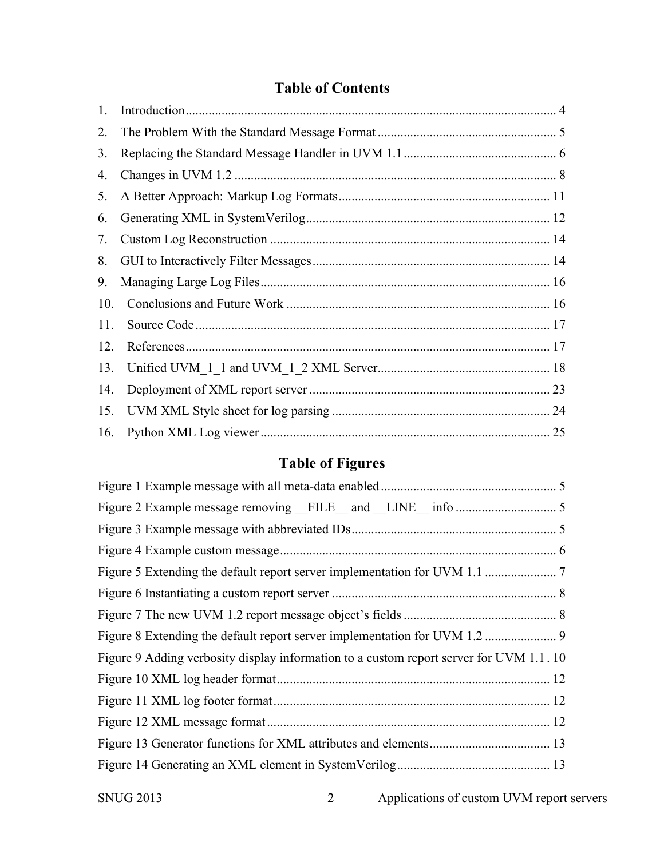## **Table of Contents**

| 1.  |  |
|-----|--|
| 2.  |  |
| 3.  |  |
| 4.  |  |
| 5.  |  |
| 6.  |  |
| 7.  |  |
| 8.  |  |
| 9.  |  |
| 10. |  |
| 11. |  |
| 12. |  |
| 13. |  |
| 14. |  |
| 15. |  |
| 16. |  |

# **Table of Figures**

| Figure 9 Adding verbosity display information to a custom report server for UVM 1.1.10 |  |  |  |  |  |
|----------------------------------------------------------------------------------------|--|--|--|--|--|
|                                                                                        |  |  |  |  |  |
|                                                                                        |  |  |  |  |  |
|                                                                                        |  |  |  |  |  |
|                                                                                        |  |  |  |  |  |
|                                                                                        |  |  |  |  |  |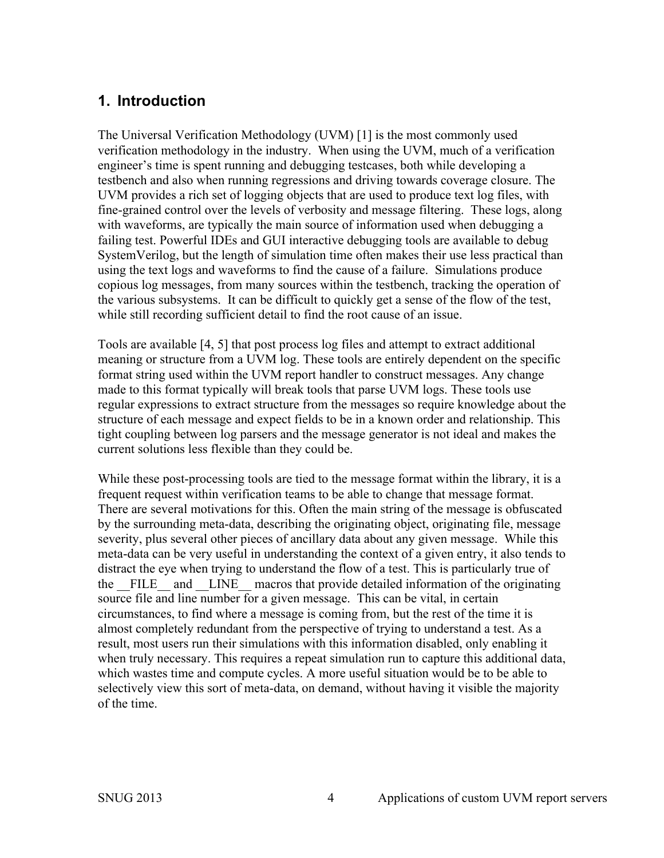## **1. Introduction**

The Universal Verification Methodology (UVM) [1] is the most commonly used verification methodology in the industry. When using the UVM, much of a verification engineer's time is spent running and debugging testcases, both while developing a testbench and also when running regressions and driving towards coverage closure. The UVM provides a rich set of logging objects that are used to produce text log files, with fine-grained control over the levels of verbosity and message filtering. These logs, along with waveforms, are typically the main source of information used when debugging a failing test. Powerful IDEs and GUI interactive debugging tools are available to debug SystemVerilog, but the length of simulation time often makes their use less practical than using the text logs and waveforms to find the cause of a failure. Simulations produce copious log messages, from many sources within the testbench, tracking the operation of the various subsystems. It can be difficult to quickly get a sense of the flow of the test, while still recording sufficient detail to find the root cause of an issue.

Tools are available [4, 5] that post process log files and attempt to extract additional meaning or structure from a UVM log. These tools are entirely dependent on the specific format string used within the UVM report handler to construct messages. Any change made to this format typically will break tools that parse UVM logs. These tools use regular expressions to extract structure from the messages so require knowledge about the structure of each message and expect fields to be in a known order and relationship. This tight coupling between log parsers and the message generator is not ideal and makes the current solutions less flexible than they could be.

While these post-processing tools are tied to the message format within the library, it is a frequent request within verification teams to be able to change that message format. There are several motivations for this. Often the main string of the message is obfuscated by the surrounding meta-data, describing the originating object, originating file, message severity, plus several other pieces of ancillary data about any given message. While this meta-data can be very useful in understanding the context of a given entry, it also tends to distract the eye when trying to understand the flow of a test. This is particularly true of the FILE and LINE macros that provide detailed information of the originating source file and line number for a given message. This can be vital, in certain circumstances, to find where a message is coming from, but the rest of the time it is almost completely redundant from the perspective of trying to understand a test. As a result, most users run their simulations with this information disabled, only enabling it when truly necessary. This requires a repeat simulation run to capture this additional data, which wastes time and compute cycles. A more useful situation would be to be able to selectively view this sort of meta-data, on demand, without having it visible the majority of the time.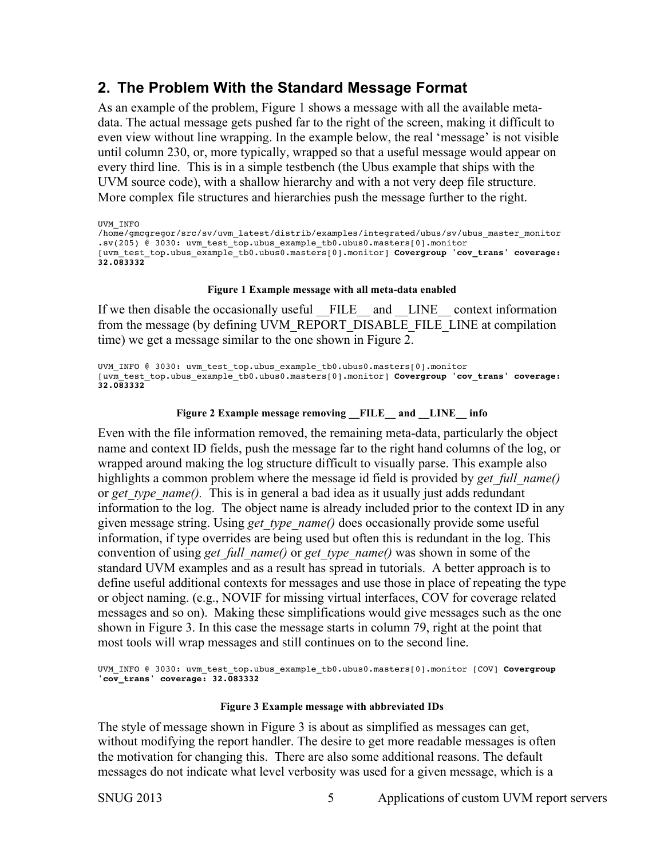## **2. The Problem With the Standard Message Format**

As an example of the problem, Figure 1 shows a message with all the available metadata. The actual message gets pushed far to the right of the screen, making it difficult to even view without line wrapping. In the example below, the real 'message' is not visible until column 230, or, more typically, wrapped so that a useful message would appear on every third line. This is in a simple testbench (the Ubus example that ships with the UVM source code), with a shallow hierarchy and with a not very deep file structure. More complex file structures and hierarchies push the message further to the right.

UVM\_INFO

```
/home/gmcgregor/src/sv/uvm_latest/distrib/examples/integrated/ubus/sv/ubus_master_monitor
.sv(205) @ 3030: uvm test top.ubus example tb0.ubus0.masters[0].monitor
[uvm_test_top.ubus_example_tb0.ubus0.masters[0].monitor] Covergroup 'cov_trans' coverage: 
32.083332
```
#### **Figure 1 Example message with all meta-data enabled**

If we then disable the occasionally useful FILE and LINE context information from the message (by defining UVM\_REPORT\_DISABLE\_FILE\_LINE at compilation time) we get a message similar to the one shown in Figure 2.

UVM\_INFO @ 3030: uvm\_test\_top.ubus\_example\_tb0.ubus0.masters[0].monitor [uvm\_test\_top.ubus\_example\_tb0.ubus0.masters[0].monitor] **Covergroup 'cov\_trans' coverage: 32.083332**

#### **Figure 2 Example message removing \_\_FILE\_\_ and \_\_LINE\_\_ info**

Even with the file information removed, the remaining meta-data, particularly the object name and context ID fields, push the message far to the right hand columns of the log, or wrapped around making the log structure difficult to visually parse. This example also highlights a common problem where the message id field is provided by *get full name()* or *get* type name(). This is in general a bad idea as it usually just adds redundant information to the log. The object name is already included prior to the context ID in any given message string. Using *get\_type\_name()* does occasionally provide some useful information, if type overrides are being used but often this is redundant in the log. This convention of using *get\_full\_name()* or *get\_type\_name()* was shown in some of the standard UVM examples and as a result has spread in tutorials. A better approach is to define useful additional contexts for messages and use those in place of repeating the type or object naming. (e.g., NOVIF for missing virtual interfaces, COV for coverage related messages and so on). Making these simplifications would give messages such as the one shown in Figure 3. In this case the message starts in column 79, right at the point that most tools will wrap messages and still continues on to the second line.

UVM\_INFO @ 3030: uvm\_test\_top.ubus example\_tb0.ubus0.masters[0].monitor [COV] **Covergroup 'cov\_trans' coverage: 32.083332**

#### **Figure 3 Example message with abbreviated IDs**

The style of message shown in Figure 3 is about as simplified as messages can get, without modifying the report handler. The desire to get more readable messages is often the motivation for changing this. There are also some additional reasons. The default messages do not indicate what level verbosity was used for a given message, which is a

SNUG 2013 5 Applications of custom UVM report servers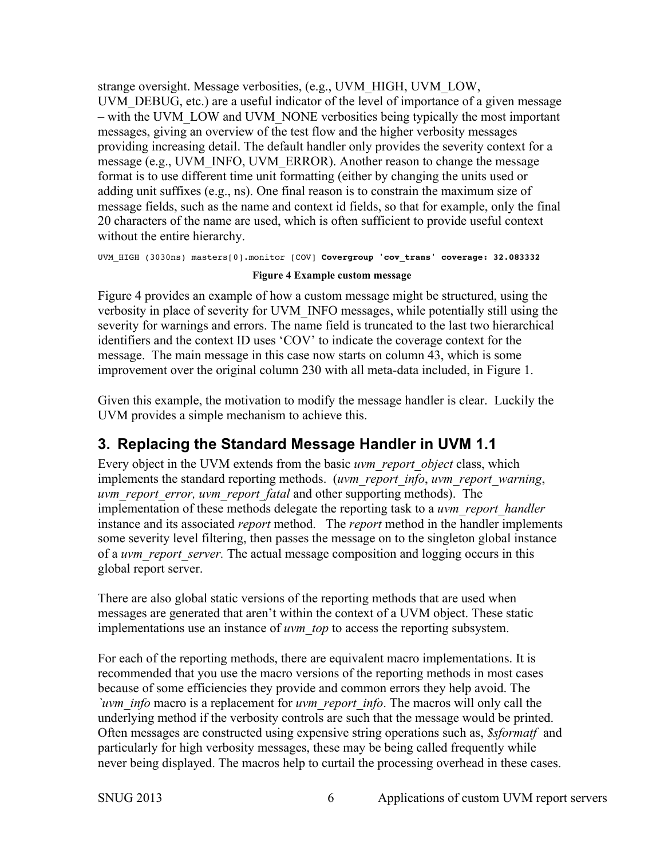strange oversight. Message verbosities, (e.g., UVM\_HIGH, UVM\_LOW, UVM\_DEBUG, etc.) are a useful indicator of the level of importance of a given message – with the UVM\_LOW and UVM\_NONE verbosities being typically the most important messages, giving an overview of the test flow and the higher verbosity messages providing increasing detail. The default handler only provides the severity context for a message (e.g., UVM\_INFO, UVM\_ERROR). Another reason to change the message format is to use different time unit formatting (either by changing the units used or adding unit suffixes (e.g., ns). One final reason is to constrain the maximum size of message fields, such as the name and context id fields, so that for example, only the final 20 characters of the name are used, which is often sufficient to provide useful context without the entire hierarchy.

```
UVM_HIGH (3030ns) masters[0].monitor [COV] Covergroup 'cov_trans' coverage: 32.083332
```
#### **Figure 4 Example custom message**

Figure 4 provides an example of how a custom message might be structured, using the verbosity in place of severity for UVM\_INFO messages, while potentially still using the severity for warnings and errors. The name field is truncated to the last two hierarchical identifiers and the context ID uses 'COV' to indicate the coverage context for the message. The main message in this case now starts on column 43, which is some improvement over the original column 230 with all meta-data included, in Figure 1.

Given this example, the motivation to modify the message handler is clear. Luckily the UVM provides a simple mechanism to achieve this.

### **3. Replacing the Standard Message Handler in UVM 1.1**

Every object in the UVM extends from the basic *uvm\_report\_object* class, which implements the standard reporting methods. (*uvm\_report\_info*, *uvm\_report\_warning*, *uvm\_report\_error, uvm\_report\_fatal* and other supporting methods). The implementation of these methods delegate the reporting task to a *uvm\_report\_handler* instance and its associated *report* method. The *report* method in the handler implements some severity level filtering, then passes the message on to the singleton global instance of a *uvm\_report\_server.* The actual message composition and logging occurs in this global report server.

There are also global static versions of the reporting methods that are used when messages are generated that aren't within the context of a UVM object. These static implementations use an instance of *uvm\_top* to access the reporting subsystem.

For each of the reporting methods, there are equivalent macro implementations. It is recommended that you use the macro versions of the reporting methods in most cases because of some efficiencies they provide and common errors they help avoid. The *`uvm\_info* macro is a replacement for *uvm\_report\_info*. The macros will only call the underlying method if the verbosity controls are such that the message would be printed. Often messages are constructed using expensive string operations such as, *\$sformatf* and particularly for high verbosity messages, these may be being called frequently while never being displayed. The macros help to curtail the processing overhead in these cases.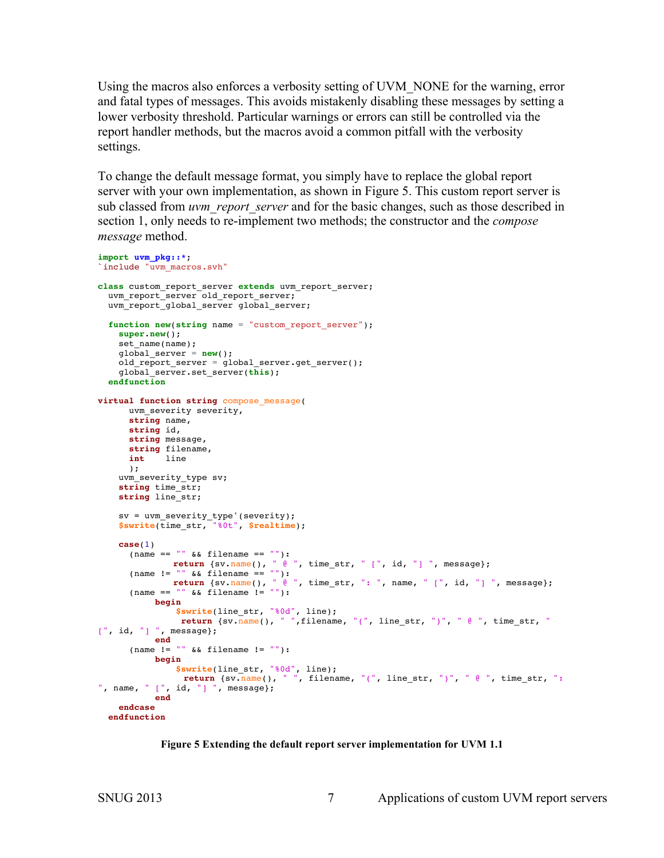Using the macros also enforces a verbosity setting of UVM\_NONE for the warning, error and fatal types of messages. This avoids mistakenly disabling these messages by setting a lower verbosity threshold. Particular warnings or errors can still be controlled via the report handler methods, but the macros avoid a common pitfall with the verbosity settings.

To change the default message format, you simply have to replace the global report server with your own implementation, as shown in Figure 5. This custom report server is sub classed from *uvm\_report\_server* and for the basic changes, such as those described in section 1, only needs to re-implement two methods; the constructor and the *compose message* method.

```
import uvm_pkg::*;
`include "uvm_macros.svh"
class custom_report_server extends uvm_report_server;
 uvm_report_server_old_report_server;
   uvm_report_global_server global_server;
   function new(string name = "custom_report_server"); 
     super.new();
    set name(name);
     global_server = new();
     old_report_server = global_server.get_server();
     global_server.set_server(this);
   endfunction
virtual function string compose_message(
       uvm_severity severity,
       string name,
       string id,
      string message,
      string filename,
       int line
       );
    uvm severity type sv;
     string time_str;
     string line_str;
     sv = uvm_severity_type'(severity);
     $swrite(time_str, "%0t", $realtime);
     case(1)
       (name == "" && filename == ""):
      return \{sv.name(), w \in w, time_str, " [", id, "] ", message};<br>(name != "" && filename == ""):
 (name != "" && filename == ""):
         return {sv.name(), " @ ", time_str, ": ", name, " [", id, "] ", message};
 (name == "" && filename != ""):
           begin
                $swrite(line_str, "%0d", line);
                return {sv.name(), " ",filename, "(", line_str, ")", " @ ", time_str, "
[", id, "] ", message};
            end
      (name != " " & & filename != ""):
            begin
               $swrite(line_str, "%0d", line);
                return {sv.name(), " ", filename, "(", line_str, ")", " @ ", time str, ":
", name, " [", id, "] ", message};
            end
     endcase
   endfunction
```
#### **Figure 5 Extending the default report server implementation for UVM 1.1**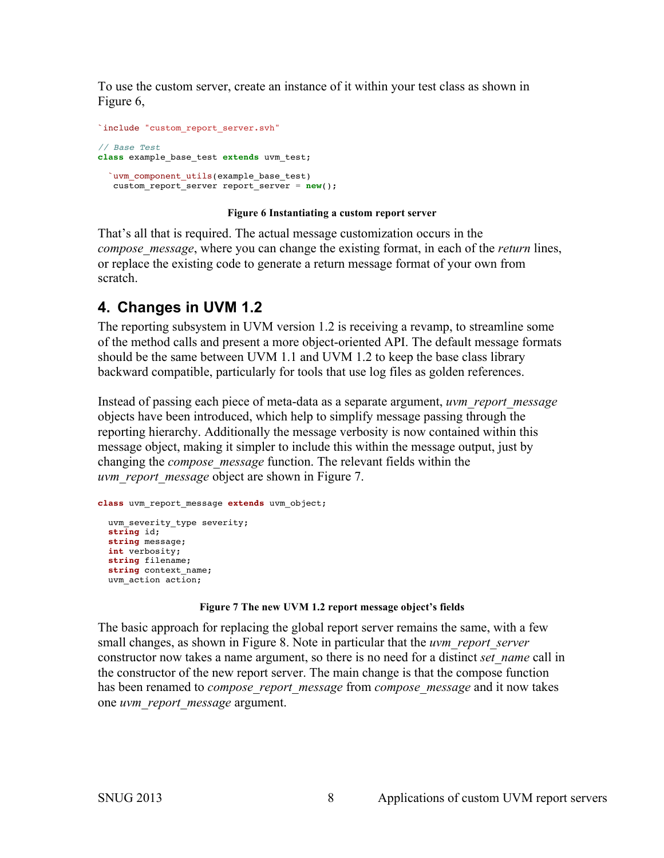To use the custom server, create an instance of it within your test class as shown in Figure 6,

```
`include "custom_report_server.svh"
// Base Test
class example_base_test extends uvm_test;
   `uvm_component_utils(example_base_test)
    custom_report_server report_server = new();
```
#### **Figure 6 Instantiating a custom report server**

That's all that is required. The actual message customization occurs in the *compose\_message*, where you can change the existing format, in each of the *return* lines, or replace the existing code to generate a return message format of your own from scratch.

## **4. Changes in UVM 1.2**

The reporting subsystem in UVM version 1.2 is receiving a revamp, to streamline some of the method calls and present a more object-oriented API. The default message formats should be the same between UVM 1.1 and UVM 1.2 to keep the base class library backward compatible, particularly for tools that use log files as golden references.

Instead of passing each piece of meta-data as a separate argument, *uvm\_report\_message* objects have been introduced, which help to simplify message passing through the reporting hierarchy. Additionally the message verbosity is now contained within this message object, making it simpler to include this within the message output, just by changing the *compose\_message* function. The relevant fields within the *uvm\_report\_message* object are shown in Figure 7.

```
class uvm_report_message extends uvm_object;
 uvm severity type severity;
  string id;
  string message;
  int verbosity;
  string filename;
  string context_name;
  uvm_action action;
```
#### **Figure 7 The new UVM 1.2 report message object's fields**

The basic approach for replacing the global report server remains the same, with a few small changes, as shown in Figure 8. Note in particular that the *uvm\_report\_server*  constructor now takes a name argument, so there is no need for a distinct *set\_name* call in the constructor of the new report server. The main change is that the compose function has been renamed to *compose\_report\_message* from *compose\_message* and it now takes one *uvm\_report\_message* argument.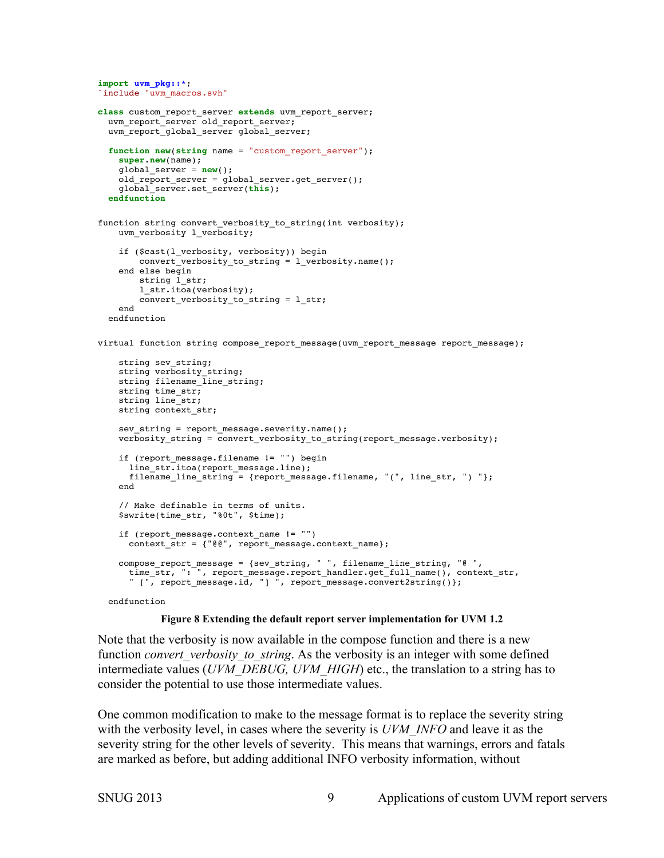```
import uvm_pkg::*;
`include "uvm macros.svh"
class custom_report_server extends uvm_report_server;
  uvm_report_server old_report_server;
   uvm_report_global_server global_server;
  function new(string name = "custom_report_server"); 
    super.new(name);
     global_server = new();
     old_report_server = global_server.get_server();
     global_server.set_server(this);
   endfunction
function string convert verbosity to string(int verbosity);
    uvm_verbosity l_verbosity;
     if ($cast(l_verbosity, verbosity)) begin
         convert_verbosity_to_string = l_verbosity.name();
     end else begin
       string 1 str;
        l_str.itoa(verbosity);
         convert_verbosity_to_string = l_str;
     end
   endfunction
virtual function string compose report message(uvm report message report message);
     string sev_string;
    string verbosity string;
   string filename_line_string;
     string time_str;
     string line_str;
    string context_str;
    sev string = report message.severity.name();
   verbosity string = convert verbosity to string(report message.verbosity);
     if (report_message.filename != "") begin
       line_str.itoa(report_message.line);
      filename line string = {report message.filename, "(", line str, ") "};
     end
     // Make definable in terms of units.
     $swrite(time_str, "%0t", $time);
     if (report_message.context_name != "")
      context str = {} \frac{1}{e} \frac{1}{e}, report message.context name};
     compose_report_message = {sev_string, " ", filename_line_string, "@ ", 
       time_str, ": ", report_message.report_handler.get_full_name(), context_str,
       " [", report_message.id, "] ", report_message.convert2string()};
   endfunction
```
#### **Figure 8 Extending the default report server implementation for UVM 1.2**

Note that the verbosity is now available in the compose function and there is a new function *convert* verbosity to string. As the verbosity is an integer with some defined intermediate values (*UVM\_DEBUG, UVM\_HIGH*) etc., the translation to a string has to consider the potential to use those intermediate values.

One common modification to make to the message format is to replace the severity string with the verbosity level, in cases where the severity is *UVM\_INFO* and leave it as the severity string for the other levels of severity. This means that warnings, errors and fatals are marked as before, but adding additional INFO verbosity information, without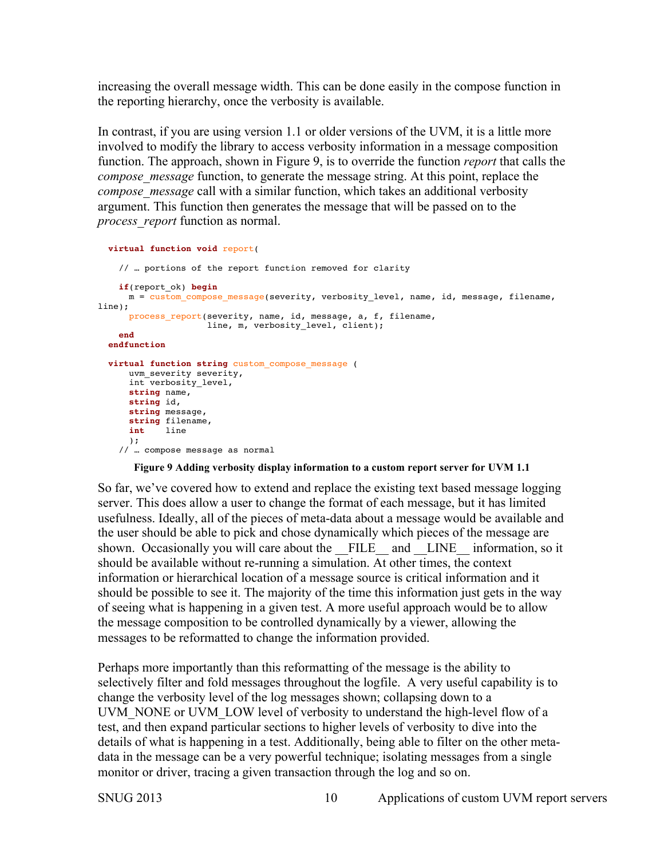increasing the overall message width. This can be done easily in the compose function in the reporting hierarchy, once the verbosity is available.

In contrast, if you are using version 1.1 or older versions of the UVM, it is a little more involved to modify the library to access verbosity information in a message composition function. The approach, shown in Figure 9, is to override the function *report* that calls the *compose message* function, to generate the message string. At this point, replace the *compose\_message* call with a similar function, which takes an additional verbosity argument. This function then generates the message that will be passed on to the *process\_report* function as normal.

```
 virtual function void report(
     // … portions of the report function removed for clarity
    if(report_ok) begin
      m = custom_compose_message(severity, verbosity_level, name, id, message, filename, 
line); 
      process_report(severity, name, id, message, a, f, filename,
                      line, m, verbosity_level, client);
    end
  endfunction
  virtual function string custom_compose_message (
      uvm_severity severity,
      int verbosity_level,
      string name,
      string id,
      string message,
      string filename,
      int line
 );
 // … compose message as normal
```
#### **Figure 9 Adding verbosity display information to a custom report server for UVM 1.1**

So far, we've covered how to extend and replace the existing text based message logging server. This does allow a user to change the format of each message, but it has limited usefulness. Ideally, all of the pieces of meta-data about a message would be available and the user should be able to pick and chose dynamically which pieces of the message are shown. Occasionally you will care about the FILE and LINE information, so it should be available without re-running a simulation. At other times, the context information or hierarchical location of a message source is critical information and it should be possible to see it. The majority of the time this information just gets in the way of seeing what is happening in a given test. A more useful approach would be to allow the message composition to be controlled dynamically by a viewer, allowing the messages to be reformatted to change the information provided.

Perhaps more importantly than this reformatting of the message is the ability to selectively filter and fold messages throughout the logfile. A very useful capability is to change the verbosity level of the log messages shown; collapsing down to a UVM\_NONE or UVM\_LOW level of verbosity to understand the high-level flow of a test, and then expand particular sections to higher levels of verbosity to dive into the details of what is happening in a test. Additionally, being able to filter on the other metadata in the message can be a very powerful technique; isolating messages from a single monitor or driver, tracing a given transaction through the log and so on.

SNUG 2013 10 Applications of custom UVM report servers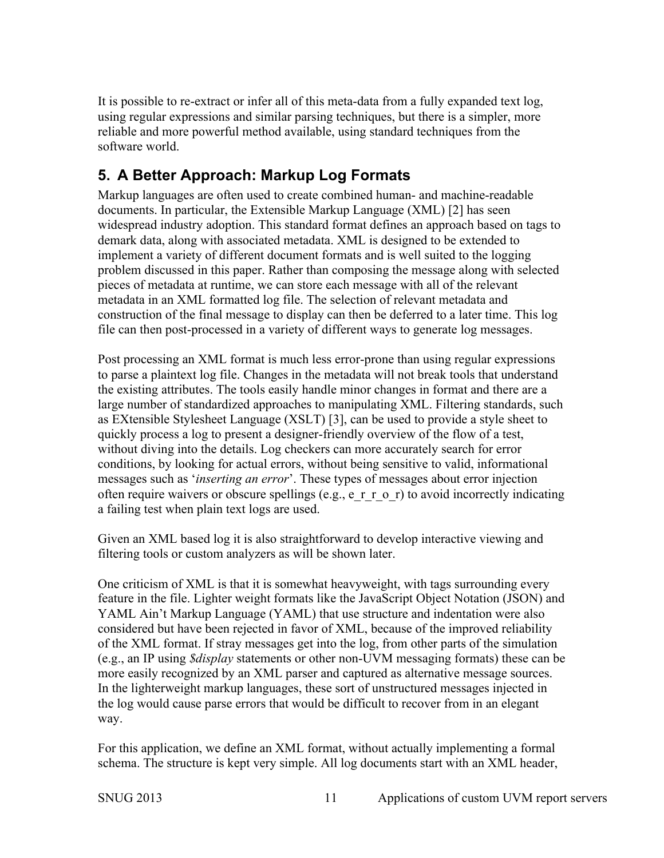It is possible to re-extract or infer all of this meta-data from a fully expanded text log, using regular expressions and similar parsing techniques, but there is a simpler, more reliable and more powerful method available, using standard techniques from the software world.

## **5. A Better Approach: Markup Log Formats**

Markup languages are often used to create combined human- and machine-readable documents. In particular, the Extensible Markup Language (XML) [2] has seen widespread industry adoption. This standard format defines an approach based on tags to demark data, along with associated metadata. XML is designed to be extended to implement a variety of different document formats and is well suited to the logging problem discussed in this paper. Rather than composing the message along with selected pieces of metadata at runtime, we can store each message with all of the relevant metadata in an XML formatted log file. The selection of relevant metadata and construction of the final message to display can then be deferred to a later time. This log file can then post-processed in a variety of different ways to generate log messages.

Post processing an XML format is much less error-prone than using regular expressions to parse a plaintext log file. Changes in the metadata will not break tools that understand the existing attributes. The tools easily handle minor changes in format and there are a large number of standardized approaches to manipulating XML. Filtering standards, such as EXtensible Stylesheet Language (XSLT) [3], can be used to provide a style sheet to quickly process a log to present a designer-friendly overview of the flow of a test, without diving into the details. Log checkers can more accurately search for error conditions, by looking for actual errors, without being sensitive to valid, informational messages such as '*inserting an error*'. These types of messages about error injection often require waivers or obscure spellings (e.g., e\_r\_r\_o\_r) to avoid incorrectly indicating a failing test when plain text logs are used.

Given an XML based log it is also straightforward to develop interactive viewing and filtering tools or custom analyzers as will be shown later.

One criticism of XML is that it is somewhat heavyweight, with tags surrounding every feature in the file. Lighter weight formats like the JavaScript Object Notation (JSON) and YAML Ain't Markup Language (YAML) that use structure and indentation were also considered but have been rejected in favor of XML, because of the improved reliability of the XML format. If stray messages get into the log, from other parts of the simulation (e.g., an IP using *\$display* statements or other non-UVM messaging formats) these can be more easily recognized by an XML parser and captured as alternative message sources. In the lighterweight markup languages, these sort of unstructured messages injected in the log would cause parse errors that would be difficult to recover from in an elegant way.

For this application, we define an XML format, without actually implementing a formal schema. The structure is kept very simple. All log documents start with an XML header,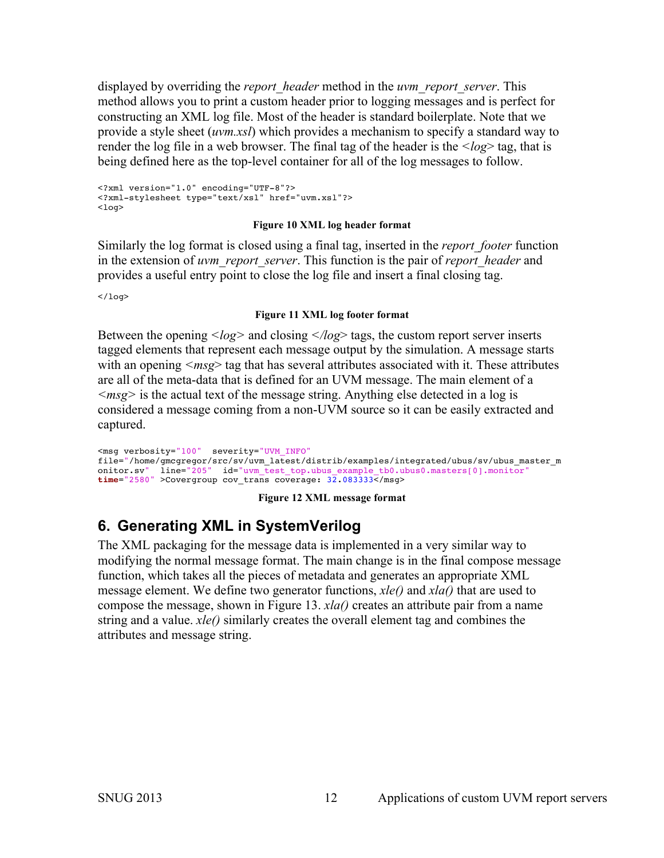displayed by overriding the *report\_header* method in the *uvm\_report\_server*. This method allows you to print a custom header prior to logging messages and is perfect for constructing an XML log file. Most of the header is standard boilerplate. Note that we provide a style sheet (*uvm.xsl*) which provides a mechanism to specify a standard way to render the log file in a web browser. The final tag of the header is the *<log*> tag, that is being defined here as the top-level container for all of the log messages to follow.

<?xml version="1.0" encoding="UTF-8"?> <?xml-stylesheet type="text/xsl" href="uvm.xsl"?>  $<sub>non1</sub>$ </sub>

#### **Figure 10 XML log header format**

Similarly the log format is closed using a final tag, inserted in the *report\_footer* function in the extension of *uvm\_report\_server*. This function is the pair of *report\_header* and provides a useful entry point to close the log file and insert a final closing tag.

 $<$ /log>

#### **Figure 11 XML log footer format**

Between the opening *<log>* and closing *</log*> tags, the custom report server inserts tagged elements that represent each message output by the simulation. A message starts with an opening *<msg>* tag that has several attributes associated with it. These attributes are all of the meta-data that is defined for an UVM message. The main element of a *<msg>* is the actual text of the message string. Anything else detected in a log is considered a message coming from a non-UVM source so it can be easily extracted and captured.

<msg verbosity="100" severity="UVM\_INFO" file="/home/gmcgregor/src/sv/uvm\_latest/distrib/examples/integrated/ubus/sv/ubus\_master\_m onitor.sv" line="205" id="uvm\_test\_top.ubus\_example\_tb0.ubus0.masters[0].monitor" **time**="2580" >Covergroup cov\_trans coverage: 32.083333</msg>

#### **Figure 12 XML message format**

## **6. Generating XML in SystemVerilog**

The XML packaging for the message data is implemented in a very similar way to modifying the normal message format. The main change is in the final compose message function, which takes all the pieces of metadata and generates an appropriate XML message element. We define two generator functions, *xle()* and *xla()* that are used to compose the message, shown in Figure 13. *xla()* creates an attribute pair from a name string and a value. *xle()* similarly creates the overall element tag and combines the attributes and message string.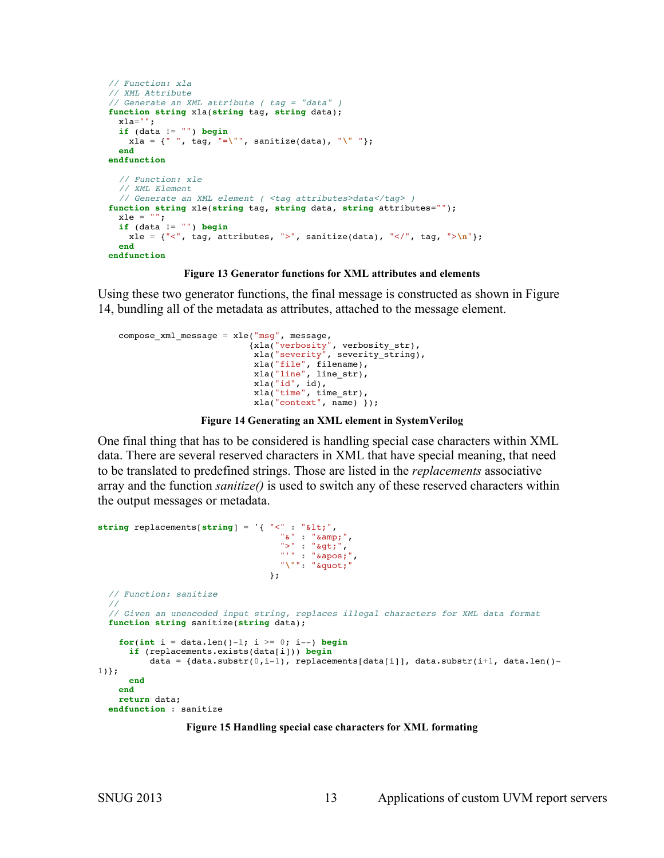```
 // Function: xla
 // XML Attribute
 // Generate an XML attribute ( tag = "data" )
 function string xla(string tag, string data);
 xla="";
   if (data != "") begin
    xla = {" ", tag, "=\"", sanitize(data), "\" "};
  end
 endfunction
   // Function: xle
   // XML Element
   // Generate an XML element ( <tag attributes>data</tag> )
 function string xle(string tag, string data, string attributes="");
 xle = " " if (data != "") begin
   xle = {"<", tag, attributes, ">", sanitize(data), "</", tag, ">\n"};
   end
 endfunction
```
#### **Figure 13 Generator functions for XML attributes and elements**

Using these two generator functions, the final message is constructed as shown in Figure 14, bundling all of the metadata as attributes, attached to the message element.

```
 compose_xml_message = xle("msg", message,
 {xla("verbosity", verbosity_str), 
 xla("severity", severity_string),
                        xla("file", filename),
                        xla("line", line_str),
                         xla("id", id),
                         xla("time", time_str),
                        xla("context", name) });
```

```
Figure 14 Generating an XML element in SystemVerilog
```
One final thing that has to be considered is handling special case characters within XML data. There are several reserved characters in XML that have special meaning, that need to be translated to predefined strings. Those are listed in the *replacements* associative array and the function *sanitize()* is used to switch any of these reserved characters within the output messages or metadata.

```
string replacements[string] = '{ "<" : "&lt;",
                                 "\&" :: "& ^",
                                 ">' : ">",
                                  " " " " * <b>apos</b>;""\"": """
 };
   // Function: sanitize
   //
  // Given an unencoded input string, replaces illegal characters for XML data format
  function string sanitize(string data);
   for(int i = data.length() - 1; i >= 0; i--) begin if (replacements.exists(data[i])) begin
         data = {data.substr(0,i-1), replacements[data[i]], data.substr(i+1, data.len()-
1)};
      end
    end
    return data;
   endfunction : sanitize
```
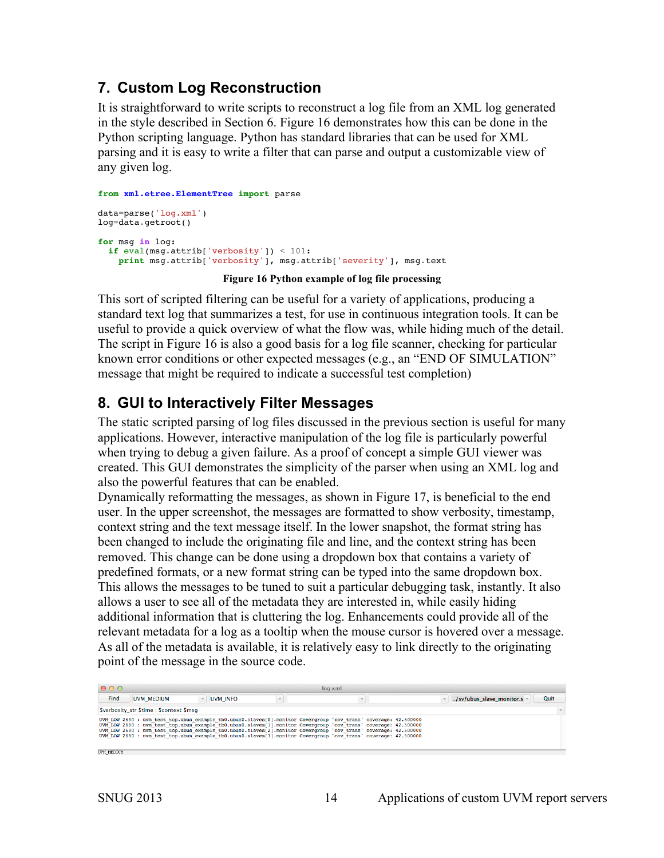## **7. Custom Log Reconstruction**

It is straightforward to write scripts to reconstruct a log file from an XML log generated in the style described in Section 6. Figure 16 demonstrates how this can be done in the Python scripting language. Python has standard libraries that can be used for XML parsing and it is easy to write a filter that can parse and output a customizable view of any given log.

```
from xml.etree.ElementTree import parse
data=parse('log.xml')
log=data.getroot()
for msg in log:
   if eval(msg.attrib['verbosity']) < 101:
     print msg.attrib['verbosity'], msg.attrib['severity'], msg.text
```
#### **Figure 16 Python example of log file processing**

This sort of scripted filtering can be useful for a variety of applications, producing a standard text log that summarizes a test, for use in continuous integration tools. It can be useful to provide a quick overview of what the flow was, while hiding much of the detail. The script in Figure 16 is also a good basis for a log file scanner, checking for particular known error conditions or other expected messages (e.g., an "END OF SIMULATION" message that might be required to indicate a successful test completion)

## **8. GUI to Interactively Filter Messages**

The static scripted parsing of log files discussed in the previous section is useful for many applications. However, interactive manipulation of the log file is particularly powerful when trying to debug a given failure. As a proof of concept a simple GUI viewer was created. This GUI demonstrates the simplicity of the parser when using an XML log and also the powerful features that can be enabled.

Dynamically reformatting the messages, as shown in Figure 17, is beneficial to the end user. In the upper screenshot, the messages are formatted to show verbosity, timestamp, context string and the text message itself. In the lower snapshot, the format string has been changed to include the originating file and line, and the context string has been removed. This change can be done using a dropdown box that contains a variety of predefined formats, or a new format string can be typed into the same dropdown box. This allows the messages to be tuned to suit a particular debugging task, instantly. It also allows a user to see all of the metadata they are interested in, while easily hiding additional information that is cluttering the log. Enhancements could provide all of the relevant metadata for a log as a tooltip when the mouse cursor is hovered over a message. As all of the metadata is available, it is relatively easy to link directly to the originating point of the message in the source code.

| 000                                                                                                                                                                                                                                                                                                                                                                                                                                                                      |          | loq.xml                 |                          |      |
|--------------------------------------------------------------------------------------------------------------------------------------------------------------------------------------------------------------------------------------------------------------------------------------------------------------------------------------------------------------------------------------------------------------------------------------------------------------------------|----------|-------------------------|--------------------------|------|
| Find<br>UVM MEDIUM                                                                                                                                                                                                                                                                                                                                                                                                                                                       | UVM INFO | $\overline{\mathbf{v}}$ | /sv/ubus slave monitor.s | Quit |
| Sverbosity str Stime : Scontext Smsg                                                                                                                                                                                                                                                                                                                                                                                                                                     |          |                         |                          |      |
| UVM LOW 2680 : uvm test top.ubus example tb0.ubus0.slaves[0].monitor Covergroup 'cov trans' coverage: 42.500000<br>UVM LOW 2680 : uvm test top.ubus example tb0.ubus0.slaves[1].monitor Covergroup 'cov trans' coverage: 42.500000<br>UVM LOW 2680 : uvm test top.ubus example tb0.ubus0.slaves[2].monitor Covergroup 'cov trans' coverage: 42.500000<br>UVM LOW 2680 : uvm test top.ubus example tb0.ubus0.slaves[3].monitor Covergroup 'cov trans' coverage: 42.500000 |          |                         |                          |      |
| UVM MEDIUM                                                                                                                                                                                                                                                                                                                                                                                                                                                               |          |                         |                          |      |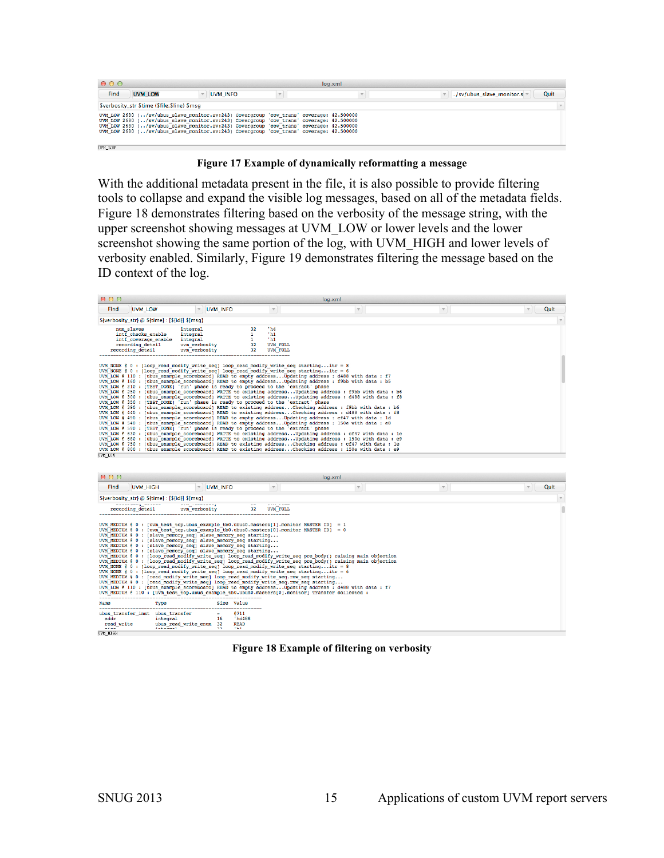| 000                                                                                                                                                                                                                                                                                                                                                                      |                                          |                 |  | loq.xml                 |                                  |  |  |
|--------------------------------------------------------------------------------------------------------------------------------------------------------------------------------------------------------------------------------------------------------------------------------------------------------------------------------------------------------------------------|------------------------------------------|-----------------|--|-------------------------|----------------------------------|--|--|
| Find                                                                                                                                                                                                                                                                                                                                                                     | <b>UVM LOW</b>                           | <b>UVM INFO</b> |  | $\overline{\mathbf{v}}$ | Quit<br>/sv/ubus slave monitor.s |  |  |
|                                                                                                                                                                                                                                                                                                                                                                          | Sverbosity str Stime (Sfile: Sline) Smsg |                 |  |                         |                                  |  |  |
| UVM LOW 2680 (/sv/ubus slave monitor.sv:243) Covergroup 'cov trans' coverage: 42.500000<br>UVM LOW 2680 (/sv/ubus slave monitor.sv:243) Covergroup 'cov trans' coverage: 42.500000<br>UVM LOW 2680 (/sv/ubus slave monitor.sv:243) Covergroup 'cov trans' coverage: 42.500000<br>UVM LOW 2680 (/sv/ubus slave monitor.sv:243) Covergroup 'cov trans' coverage: 42.500000 |                                          |                 |  |                         |                                  |  |  |
| UVM LOW                                                                                                                                                                                                                                                                                                                                                                  |                                          |                 |  |                         |                                  |  |  |

**Figure 17 Example of dynamically reformatting a message**

With the additional metadata present in the file, it is also possible to provide filtering tools to collapse and expand the visible log messages, based on all of the metadata fields. Figure 18 demonstrates filtering based on the verbosity of the message string, with the upper screenshot showing messages at UVM\_LOW or lower levels and the lower screenshot showing the same portion of the log, with UVM\_HIGH and lower levels of verbosity enabled. Similarly, Figure 19 demonstrates filtering the message based on the ID context of the log.

| 000                                                                                                                                                                                                                                                                                                                                                                   |                                                                    |                                                                                                             | log.xml                                                                                                                                                                                                                                                                                                                                                                                                                                                                                                                                                                                                                                                                                                                                                                                                                                                                                         |              |                                  |
|-----------------------------------------------------------------------------------------------------------------------------------------------------------------------------------------------------------------------------------------------------------------------------------------------------------------------------------------------------------------------|--------------------------------------------------------------------|-------------------------------------------------------------------------------------------------------------|-------------------------------------------------------------------------------------------------------------------------------------------------------------------------------------------------------------------------------------------------------------------------------------------------------------------------------------------------------------------------------------------------------------------------------------------------------------------------------------------------------------------------------------------------------------------------------------------------------------------------------------------------------------------------------------------------------------------------------------------------------------------------------------------------------------------------------------------------------------------------------------------------|--------------|----------------------------------|
| Find<br><b>UVM LOW</b>                                                                                                                                                                                                                                                                                                                                                | <b>UVM INFO</b>                                                    | $\mathbf v$                                                                                                 | $\mathbf{v}$                                                                                                                                                                                                                                                                                                                                                                                                                                                                                                                                                                                                                                                                                                                                                                                                                                                                                    | $\mathbf{v}$ | Quit<br>$\overline{\phantom{a}}$ |
| \${verbosity str} @ \${time} : [\${id}] \${msq}                                                                                                                                                                                                                                                                                                                       |                                                                    |                                                                                                             |                                                                                                                                                                                                                                                                                                                                                                                                                                                                                                                                                                                                                                                                                                                                                                                                                                                                                                 |              | $\overline{\phantom{a}}$         |
| num slaves<br>intf checks enable<br>intf coverage enable<br>recording detail<br>recording detail                                                                                                                                                                                                                                                                      | integral<br>integral<br>integral<br>uvm verbositv<br>uvm verbosity | $'$ h4<br>32<br>$'$ h <sub>1</sub><br>$^{\prime}$ h <sub>1</sub><br>32<br>UVM FULL<br>32<br><b>UVM FULL</b> |                                                                                                                                                                                                                                                                                                                                                                                                                                                                                                                                                                                                                                                                                                                                                                                                                                                                                                 |              |                                  |
| UVM NONE $\ell$ 0 : [loop read modify write seq] loop read modify write seq startingitr = 8<br>UVM NONE $\ell$ 0 : [loop read modify write seq] loop read modify write seq startingitr = 6<br>UVM LOW @ 210 : [TEST DONE] run' phase is ready to proceed to the 'extract' phase<br>UVM LOW @ 350 : [TEST DONE] 'run' phase is ready to proceed to the 'extract' phase |                                                                    |                                                                                                             | UVM LOW @ 110 : [ubus example scoreboard] READ to empty address Updating address : d488 with data : f7<br>UVM LOW @ 160 : [ubus example scoreboard] READ to empty address Updating address : f9bb with data : b5<br>UVM LOW @ 250 : [ubus example scoreboard] WRITE to existing address Updating address : f9bb with data : b6<br>UVM LOW @ 300 : [ubus example scoreboard] WRITE to existing address Updating address : d488 with data : f8                                                                                                                                                                                                                                                                                                                                                                                                                                                    |              |                                  |
| UVM LOW @ 590 : [TEST DONE] 'run' phase is ready to proceed to the 'extract' phase<br>UVM LOW                                                                                                                                                                                                                                                                         |                                                                    |                                                                                                             | UVM LOW @ 390 : [ubus example scoreboard] READ to existing address Checking address : f9bb with data : b6<br>UVM LOW @ 440 : (ubus example scoreboard) READ to existing address Checking address : d488 with data : f8<br>UVM LOW @ 490 : [ubus example scoreboard] READ to empty address Updating address : cf47 with data : ld<br>UVM LOW @ 540 : [ubus example scoreboard] READ to empty address Updating address : 150e with data : e8<br>UVM LOW @ 630 : [ubus example scoreboard] WRITE to existing addressUpdating address : cf47 with data : le<br>UVM LOW @ 680 : (ubus example scoreboard) WRITE to existing address Updating address : 150e with data : e9<br>UVM LOW @ 750 : [ubus example scoreboard] READ to existing address Checking address : cf47 with data : le<br>UVM LOW @ 800 : [ubus example scoreboard] READ to existing address Checking address : 150e with data : e9 |              |                                  |

| 000                                                                                 |                                                                                                                                                                                                                                                                                                                                                                                                                                                                                                                                                                                                                                                                                                                                                                                                                                      |                                                                      |                 | log.xml                                                                                                                                                                                                                                                                                                                                                                                                                                |                          |                                 |
|-------------------------------------------------------------------------------------|--------------------------------------------------------------------------------------------------------------------------------------------------------------------------------------------------------------------------------------------------------------------------------------------------------------------------------------------------------------------------------------------------------------------------------------------------------------------------------------------------------------------------------------------------------------------------------------------------------------------------------------------------------------------------------------------------------------------------------------------------------------------------------------------------------------------------------------|----------------------------------------------------------------------|-----------------|----------------------------------------------------------------------------------------------------------------------------------------------------------------------------------------------------------------------------------------------------------------------------------------------------------------------------------------------------------------------------------------------------------------------------------------|--------------------------|---------------------------------|
| Find<br><b>UVM HIGH</b>                                                             |                                                                                                                                                                                                                                                                                                                                                                                                                                                                                                                                                                                                                                                                                                                                                                                                                                      | <b>UVM INFO</b>                                                      | $\mathbf{v}$    | $\overline{\phantom{a}}$                                                                                                                                                                                                                                                                                                                                                                                                               | $\overline{\phantom{a}}$ | Quit<br>$\overline{\mathbf{v}}$ |
| \${verbosity str} @ \${time} : [\${id}] \${msq}                                     |                                                                                                                                                                                                                                                                                                                                                                                                                                                                                                                                                                                                                                                                                                                                                                                                                                      |                                                                      |                 |                                                                                                                                                                                                                                                                                                                                                                                                                                        |                          |                                 |
| recording detail                                                                    | uvm verbosity                                                                                                                                                                                                                                                                                                                                                                                                                                                                                                                                                                                                                                                                                                                                                                                                                        | 32                                                                   | <b>UVM FULL</b> |                                                                                                                                                                                                                                                                                                                                                                                                                                        |                          |                                 |
|                                                                                     | UVM MEDIUM $\ell$ 0 : [uvm test top.ubus example tb0.ubus0.masters[1].monitor MASTER ID] = 1<br>UVM MEDIUM @ 0 : [uvm test top.ubus example tb0.ubus0.masters[0].monitor MASTER ID] = 0<br>UVM MEDIUM @ 0 : [slave memory seq] slave memory seq starting<br>UVM MEDIUM @ 0 : [slave memory seq] slave memory seq starting<br>UVM MEDIUM @ 0 : [slave memory seq] slave memory seq starting<br>UVM MEDIUM @ 0 : [slave memory seq] slave memory seq starting<br>UVM NONE $80:$ [loop read modify write seq] loop read modify write seq startingitr = 8<br>UVM NONE $\ell$ 0 : (loop read modify write seq) loop read modify write seq startingitr = 6<br>UVM MEDIUM @ 0 : [read modify write seq] loop read modify write seq.rmw seq starting<br>UVM MEDIUM @ 0 : [read modify write seq] loop read modify write seq.rmw seq starting |                                                                      |                 | UVM MEDIUM @ 0 : [loop read modify write seq] loop read modify write seq pre body() raising main objection<br>UVM MEDIUM @ 0 : [loop read modify write seq] loop read modify write seq pre body() raising main objection<br>UVM LOW @ 110 : [ubus example scoreboard] READ to empty address Updating address : d488 with data : f7<br>UVM MEDIUM @ 110 : [uvm test top.ubus example tb0.ubus0.masters[0].monitor] Transfer collected : |                          |                                 |
| Name                                                                                | Type                                                                                                                                                                                                                                                                                                                                                                                                                                                                                                                                                                                                                                                                                                                                                                                                                                 | Size Value                                                           |                 |                                                                                                                                                                                                                                                                                                                                                                                                                                        |                          |                                 |
| ubus transfer inst ubus transfer<br>addr<br>read write<br>$\sim$<br><b>UVM HIGH</b> | integral<br>ubus read write enum<br><b><i>ENERGATE</i></b>                                                                                                                                                                                                                                                                                                                                                                                                                                                                                                                                                                                                                                                                                                                                                                           | 8711<br>'hd488<br>16<br>32<br><b>READ</b><br><b><i>FR1</i></b><br>22 |                 |                                                                                                                                                                                                                                                                                                                                                                                                                                        |                          |                                 |

**Figure 18 Example of filtering on verbosity**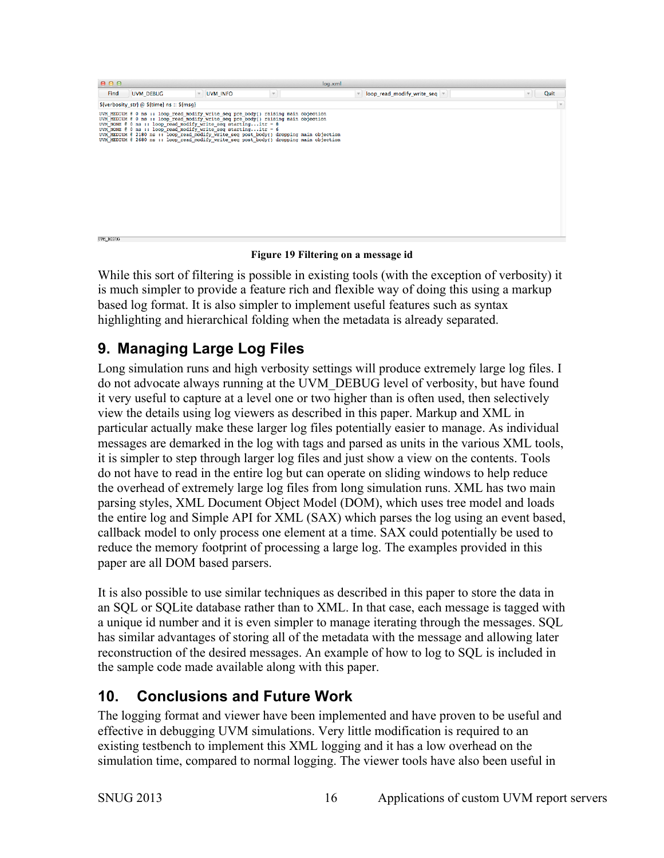| 000                                                                                                                                                                                                                                                                                                                |                 | log.xml                                                                                                                                                                          |                              |                      |
|--------------------------------------------------------------------------------------------------------------------------------------------------------------------------------------------------------------------------------------------------------------------------------------------------------------------|-----------------|----------------------------------------------------------------------------------------------------------------------------------------------------------------------------------|------------------------------|----------------------|
| Find<br><b>UVM DEBUG</b>                                                                                                                                                                                                                                                                                           | <b>UVM INFO</b> | $\mathbf v$                                                                                                                                                                      | loop_read_modify_write_seq = | Quit<br>$\mathbf{v}$ |
| S{verbosity str} @ \${time} ns :: \${msq}                                                                                                                                                                                                                                                                          |                 |                                                                                                                                                                                  |                              | $\mathbf{v}$         |
| UVM MEDIUM @ 0 ns :: loop read modify write seq pre body() raising main objection<br>UVM_MEDIUM @ 0 ns :: loop_read_modify_write_seq_pre_body() raising main objection<br>UVM NONE $\ell$ 0 ns :: loop read modify write seq startingitr = 8<br>UVM NONE $\ell$ 0 ns :: loop read modify write seq startingitr = 6 |                 | UVM MEDIUM @ 2180 ns :: loop read modify write seq post body() dropping main objection<br>UVM MEDIUM @ 2680 ns :: loop read modify write seq post body() dropping main objection |                              |                      |
| UVM DEBUG                                                                                                                                                                                                                                                                                                          |                 |                                                                                                                                                                                  |                              |                      |

#### **Figure 19 Filtering on a message id**

While this sort of filtering is possible in existing tools (with the exception of verbosity) it is much simpler to provide a feature rich and flexible way of doing this using a markup based log format. It is also simpler to implement useful features such as syntax highlighting and hierarchical folding when the metadata is already separated.

## **9. Managing Large Log Files**

Long simulation runs and high verbosity settings will produce extremely large log files. I do not advocate always running at the UVM\_DEBUG level of verbosity, but have found it very useful to capture at a level one or two higher than is often used, then selectively view the details using log viewers as described in this paper. Markup and XML in particular actually make these larger log files potentially easier to manage. As individual messages are demarked in the log with tags and parsed as units in the various XML tools, it is simpler to step through larger log files and just show a view on the contents. Tools do not have to read in the entire log but can operate on sliding windows to help reduce the overhead of extremely large log files from long simulation runs. XML has two main parsing styles, XML Document Object Model (DOM), which uses tree model and loads the entire log and Simple API for XML (SAX) which parses the log using an event based, callback model to only process one element at a time. SAX could potentially be used to reduce the memory footprint of processing a large log. The examples provided in this paper are all DOM based parsers.

It is also possible to use similar techniques as described in this paper to store the data in an SQL or SQLite database rather than to XML. In that case, each message is tagged with a unique id number and it is even simpler to manage iterating through the messages. SQL has similar advantages of storing all of the metadata with the message and allowing later reconstruction of the desired messages. An example of how to log to SQL is included in the sample code made available along with this paper.

## **10. Conclusions and Future Work**

The logging format and viewer have been implemented and have proven to be useful and effective in debugging UVM simulations. Very little modification is required to an existing testbench to implement this XML logging and it has a low overhead on the simulation time, compared to normal logging. The viewer tools have also been useful in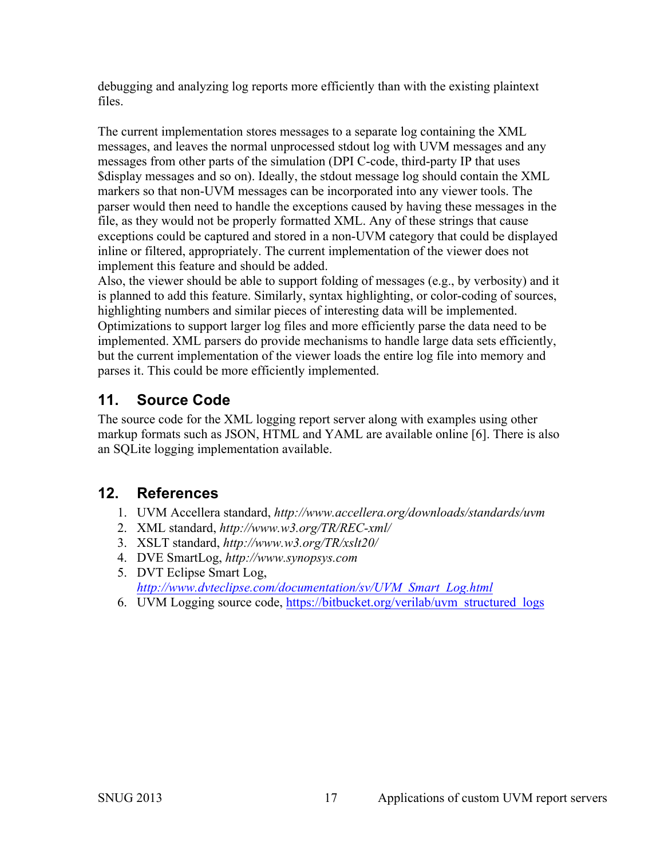debugging and analyzing log reports more efficiently than with the existing plaintext files.

The current implementation stores messages to a separate log containing the XML messages, and leaves the normal unprocessed stdout log with UVM messages and any messages from other parts of the simulation (DPI C-code, third-party IP that uses \$display messages and so on). Ideally, the stdout message log should contain the XML markers so that non-UVM messages can be incorporated into any viewer tools. The parser would then need to handle the exceptions caused by having these messages in the file, as they would not be properly formatted XML. Any of these strings that cause exceptions could be captured and stored in a non-UVM category that could be displayed inline or filtered, appropriately. The current implementation of the viewer does not implement this feature and should be added.

Also, the viewer should be able to support folding of messages (e.g., by verbosity) and it is planned to add this feature. Similarly, syntax highlighting, or color-coding of sources, highlighting numbers and similar pieces of interesting data will be implemented. Optimizations to support larger log files and more efficiently parse the data need to be implemented. XML parsers do provide mechanisms to handle large data sets efficiently, but the current implementation of the viewer loads the entire log file into memory and parses it. This could be more efficiently implemented.

## **11. Source Code**

The source code for the XML logging report server along with examples using other markup formats such as JSON, HTML and YAML are available online [6]. There is also an SQLite logging implementation available.

## **12. References**

- 1. UVM Accellera standard, *http://www.accellera.org/downloads/standards/uvm*
- 2. XML standard, *http://www.w3.org/TR/REC-xml/*
- 3. XSLT standard, *http://www.w3.org/TR/xslt20/*
- 4. DVE SmartLog, *http://www.synopsys.com*
- 5. DVT Eclipse Smart Log, *http://www.dvteclipse.com/documentation/sv/UVM\_Smart\_Log.html*
- 6. UVM Logging source code, https://bitbucket.org/verilab/uvm\_structured\_logs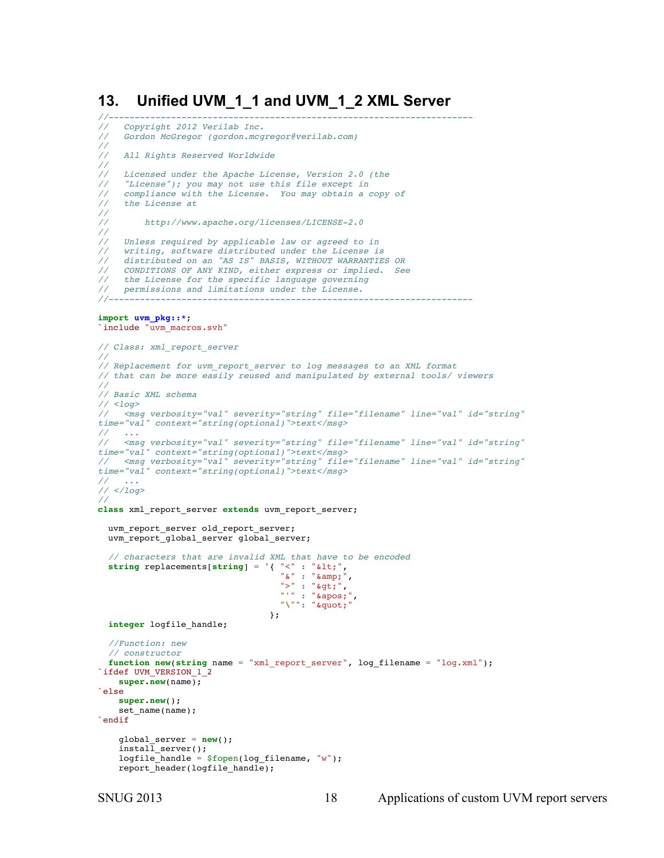### **13. Unified UVM\_1\_1 and UVM\_1\_2 XML Server**

```
//----------------------------------------------------------------------
// Copyright 2012 Verilab Inc.
     // Gordon McGregor (gordon.mcgregor@verilab.com)
//
    // All Rights Reserved Worldwide 
// 
    Licensed under the Apache License, Version 2.0 (the
     // "License"); you may not use this file except in 
     // compliance with the License. You may obtain a copy of 
     // the License at 
// 
         // http://www.apache.org/licenses/LICENSE-2.0 
// 
// Unless required by applicable law or agreed to in 
// writing, software distributed under the License is 
// distributed on an "AS IS" BASIS, WITHOUT WARRANTIES OR 
// CONDITIONS OF ANY KIND, either express or implied. See 
// the License for the specific language governing 
    // permissions and limitations under the License. 
//----------------------------------------------------------------------
import uvm_pkg::*;
`include "uvm_macros.svh"
// Class: xml_report_server
//
// Replacement for uvm_report_server to log messages to an XML format
// that can be more easily reused and manipulated by external tools/ viewers
//
// Basic XML schema
// <log>
// <msg verbosity="val" severity="string" file="filename" line="val" id="string" 
time="val" context="string(optional)">text</msg>
// ...
// <msg verbosity="val" severity="string" file="filename" line="val" id="string" 
time="val" context="string(optional)">text</msg>
// <msg verbosity="val" severity="string" file="filename" line="val" id="string" 
time="val" context="string(optional)">text</msg>
// ...
// </log>
//
class xml_report_server extends uvm_report_server;
   uvm_report_server old_report_server;
   uvm_report_global_server global_server;
   // characters that are invalid XML that have to be encoded
  string replacements[string] = '{ "<" : "&lt;",
                                    "\&" : "&;">' : "`gt;",
                                   " " " " : " \'""\"": """
 };
   integer logfile_handle;
   //Function: new
   // constructor
   function new(string name = "xml_report_server", log_filename = "log.xml"); 
`ifdef UVM_VERSION_1_2
     super.new(name);
`else
     super.new();
     set_name(name);
`endif
     global_server = new();
    instal-server();
    logfile handle = $fopen(logfilename, "w");
    report header(logfile handle);
```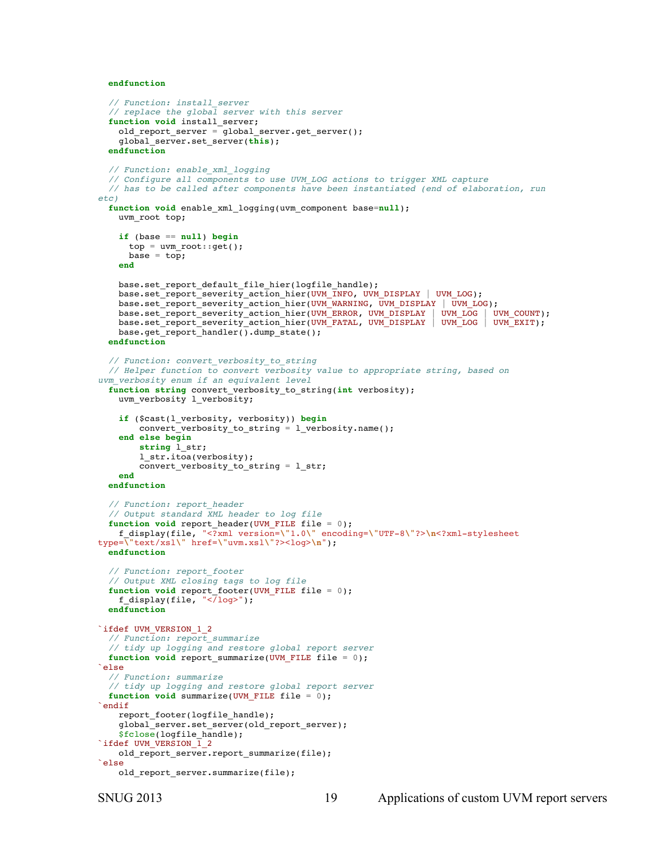**endfunction**

```
 // Function: install_server
   // replace the global server with this server
   function void install_server;
     old_report_server = global_server.get_server();
     global_server.set_server(this);
   endfunction
   // Function: enable_xml_logging
   // Configure all components to use UVM_LOG actions to trigger XML capture
   // has to be called after components have been instantiated (end of elaboration, run 
etc)
   function void enable_xml_logging(uvm_component base=null);
    uvm_root top;
     if (base == null) begin
      top = uvm root::get();
      base = top; end
     base.set_report_default_file_hier(logfile_handle);
     base.set_report_severity_action_hier(UVM_INFO, UVM_DISPLAY | UVM_LOG);
    base.set_report_severity_action_hier(UVM_WARNING, UVM_DISPLAY | UVM_LOG);
     base.set_report_severity_action_hier(UVM_ERROR, UVM_DISPLAY | UVM_LOG | UVM_COUNT);
     base.set_report_severity_action_hier(UVM_FATAL, UVM_DISPLAY | UVM_LOG | UVM_EXIT);
    base.get report handler().dump \overline{\text{state}}();
   endfunction
   // Function: convert_verbosity_to_string
   // Helper function to convert verbosity value to appropriate string, based on 
uvm_verbosity enum if an equivalent level
   function string convert_verbosity_to_string(int verbosity);
     uvm_verbosity l_verbosity;
     if ($cast(l_verbosity, verbosity)) begin
         convert_verbosity_to_string = l_verbosity.name();
     end else begin
         string l_str;
         l_str.itoa(verbosity);
         convert_verbosity_to_string = l_str;
     end
   endfunction
   // Function: report_header
   // Output standard XML header to log file
  function void report_header(UVM_FILE file = 0);
     f_display(file, "<?xml version=\"1.0\" encoding=\"UTF-8\"?>\n<?xml-stylesheet 
type=\"text/xsl\" href=\"uvm.xsl\"?><log>\n");
   endfunction
   // Function: report_footer
   // Output XML closing tags to log file 
   function void report_footer(UVM_FILE file = 0);
    f_display(file, "\sqrt{log}");
   endfunction
`ifdef UVM_VERSION_1_2
   // Function: report_summarize
   // tidy up logging and restore global report server
  function void report summarize(UVM_FILE file = 0);
`else
   // Function: summarize
   // tidy up logging and restore global report server
  function void summarize(UVM_FILE file = 0);
`endif
    report footer(logfile handle);
     global_server.set_server(old_report_server);
     $fclose(logfile_handle);
\widehat{1} ifdef UVM VERSION \overline{1} 2
   old report server.report summarize(file);
`else
    old report server.summarize(file);
```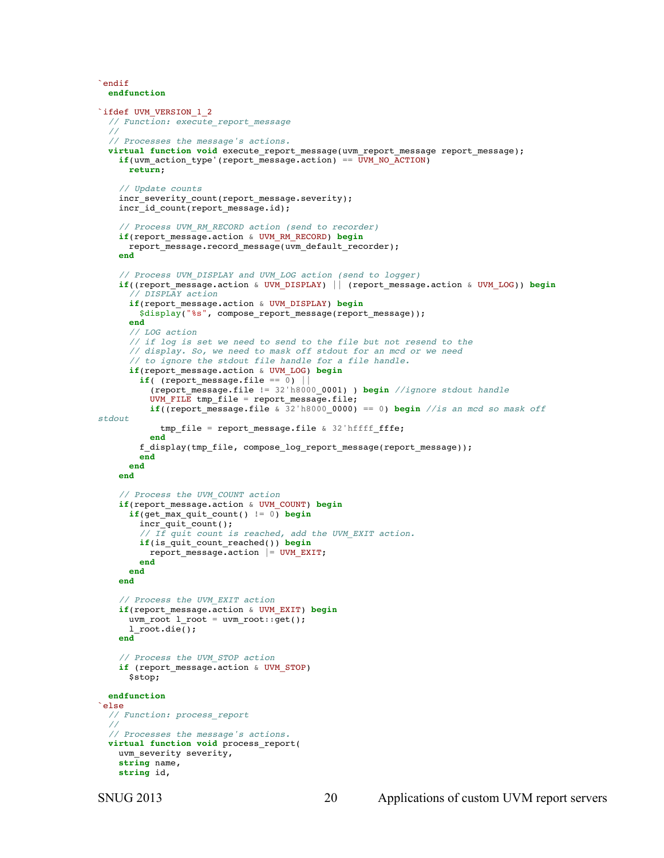```
`endif
  endfunction
`ifdef UVM_VERSION_1_2
  // Function: execute_report_message
 //
  // Processes the message's actions.
  virtual function void execute_report_message(uvm_report_message report_message);
   if(uvw_action_type'(report_message.action) = \overline{UVM NO ACTION}) return;
     // Update counts 
    incr_severity_count(report_message.severity);
    incr_id_count(report_message.id);
     // Process UVM_RM_RECORD action (send to recorder)
     if(report_message.action & UVM_RM_RECORD) begin
      report message.record message(uvm default recorder);
     end
     // Process UVM_DISPLAY and UVM_LOG action (send to logger)
     if((report_message.action & UVM_DISPLAY) || (report_message.action & UVM_LOG)) begin
         // DISPLAY action
       if(report_message.action & UVM_DISPLAY) begin
         $display("%s", compose_report_message(report_message));
       end
 // LOG action
 // if log is set we need to send to the file but not resend to the
       // display. So, we need to mask off stdout for an mcd or we need
       // to ignore the stdout file handle for a file handle.
       if(report_message.action & UVM_LOG) begin
        if( (report message.file == \overline{0}) ||
           (report_message.file != 32'h8000_0001) ) begin //ignore stdout handle
           UVM_FILE tmp_file = report_message.file;
          if((report message.file & 32'h8000 0000) == 0) begin // is an med so mask offstdout
             tmp_file = report_message.file & 32'hffff_fffe;
           end
         f_display(tmp_file, compose_log_report_message(report_message));
         end
       end 
    end
     // Process the UVM_COUNT action
     if(report_message.action & UVM_COUNT) begin
       if(get_max_quit_count() != 0) begin
        \overline{\text{incr\_quit\_count}}();
         // If quit count is reached, add the UVM_EXIT action.
         if(is_quit_count_reached()) begin
         report message.action | = UVM EXIT;
         end
       end 
     end
     // Process the UVM_EXIT action
     if(report_message.action & UVM_EXIT) begin
      uvm\_root l\_root = uvm\_root:get();
       l_root.die();
     end
     // Process the UVM_STOP action
     if (report_message.action & UVM_STOP) 
       $stop;
  endfunction
`else
  // Function: process_report
  //
   // Processes the message's actions.
  virtual function void process_report(
   uvm severity severity,
     string name,
    string id,
```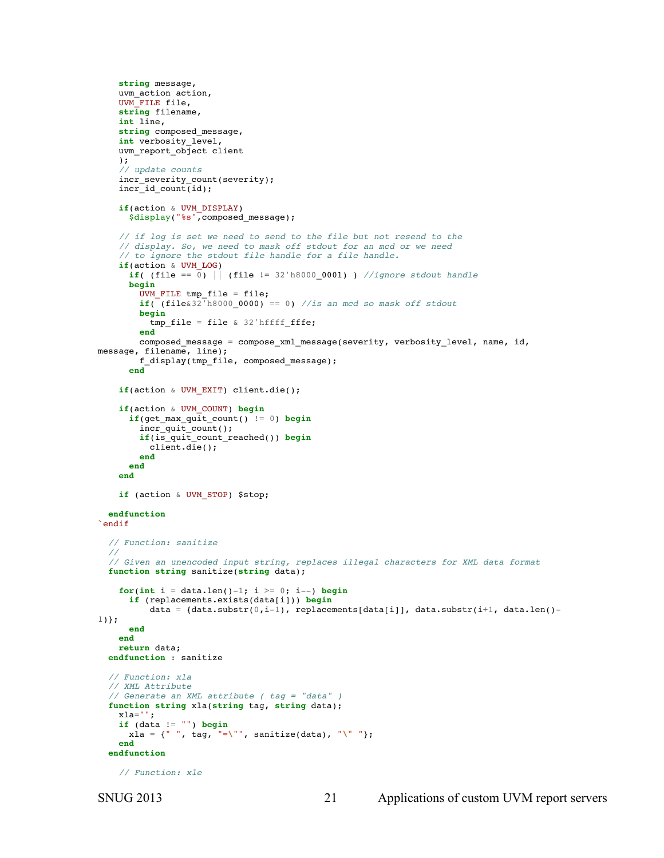```
 string message,
     uvm_action action,
     UVM_FILE file,
     string filename,
     int line,
     string composed_message,
     int verbosity_level,
     uvm_report_object client
     );
     // update counts
     incr_severity_count(severity);
    incr_id_count(id);
     if(action & UVM_DISPLAY)
       $display("%s",composed_message);
     // if log is set we need to send to the file but not resend to the
     // display. So, we need to mask off stdout for an mcd or we need
     // to ignore the stdout file handle for a file handle.
     if(action & UVM_LOG)
      if( (file == \overline{0}) || (file != 32'h8000_0001) ) //ignore stdout handle
       begin
        UVM FILE tmp file = file;
        if((file&32<sup>-h8000_0000) == 0) //is an mcd so mask off stdout</sup>
         begin
          tmp_file = file & 32'hffff_fffe;
         end
         composed_message = compose_xml_message(severity, verbosity_level, name, id, 
message, filename, line); 
         f_display(tmp_file, composed_message);
       end 
     if(action & UVM_EXIT) client.die();
     if(action & UVM_COUNT) begin
      if(get max quit_count() != 0) begin
         incr_quit_count();
         if(is_quit_count_reached()) begin
           client.die();
         end
       end 
     end
    if (action & UVM STOP) $stop;
   endfunction
`endif
   // Function: sanitize
   //
   // Given an unencoded input string, replaces illegal characters for XML data format
   function string sanitize(string data);
    for(int i = data.length() - 1; i >= 0; i--) begin if (replacements.exists(data[i])) begin
          data = {data.substr(0,i-1), replacements[data[i]], data.substr(i+1, data.len()-
1)};
       end
     end
     return data;
   endfunction : sanitize
   // Function: xla
   // XML Attribute
   // Generate an XML attribute ( tag = "data" )
   function string xla(string tag, string data);
    xla="";
     if (data != "") begin
       xla = {" ", tag, "=\"", sanitize(data), "\" "};
     end
   endfunction
     // Function: xle
```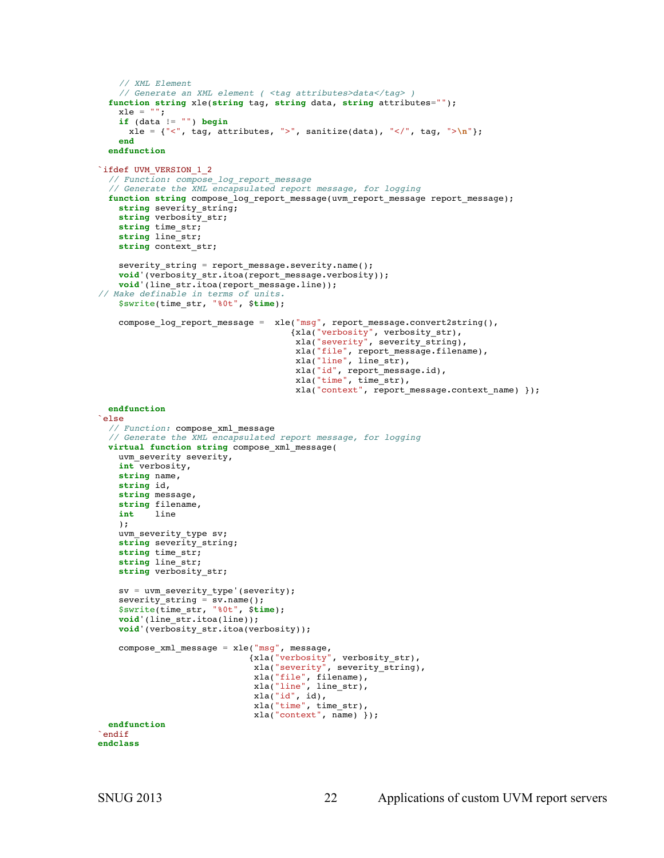```
 // XML Element
    // Generate an XML element ( <tag attributes>data</tag> )
  function string xle(string tag, string data, string attributes="");
   xle = " " if (data != "") begin
     xle = {"<", tag, attributes, ">", sanitize(data), "</", tag, ">\n"};
    end
  endfunction
`ifdef UVM_VERSION_1_2
  // Function: compose_log_report_message
   // Generate the XML encapsulated report message, for logging
  function string compose_log_report_message(uvm_report_message report_message);
    string severity_string;
    string verbosity_str;
    string time_str;
    string line_str;
   string context str;
    severity_string = report_message.severity.name();
    void'(verbosity_str.itoa(report_message.verbosity));
    void'(line_str.itoa(report_message.line));
// Make definable in terms of units.
    $swrite(time_str, "%0t", $time);
 compose_log_report_message = xle("msg", report_message.convert2string(),
 {xla("verbosity", verbosity_str), 
 xla("severity", severity_string),
                                     xla("file", report_message.filename),
                                     xla("line", line_str),
                                     xla("id", report_message.id),
                                    xla("time", time_str),
                                     xla("context", report_message.context_name) });
  endfunction
`else
  // Function: compose_xml_message
  // Generate the XML encapsulated report message, for logging 
  virtual function string compose_xml_message(
   uvm severity severity,
    int verbosity,
    string name,
    string id,
    string message,
    string filename,
    int line
    );
    uvm_severity_type sv;
    string severity_string;
   string time str;
    string line_str;
    string verbosity_str;
    sv = uvm_severity_type'(severity);
 severity_string = sv.name();
 $swrite(time_str, "%0t", $time);
    void'(line_str.itoa(line));
    void'(verbosity_str.itoa(verbosity));
    compose_xml_message = xle("msg", message,
 {xla("verbosity", verbosity_str), 
 xla("severity", severity_string),
                             xla("file", filename),
                             xla("line", line_str),
                            xla("id", id), xla("time", time_str),
                            xla("context", name) });
  endfunction
`endif 
endclass
```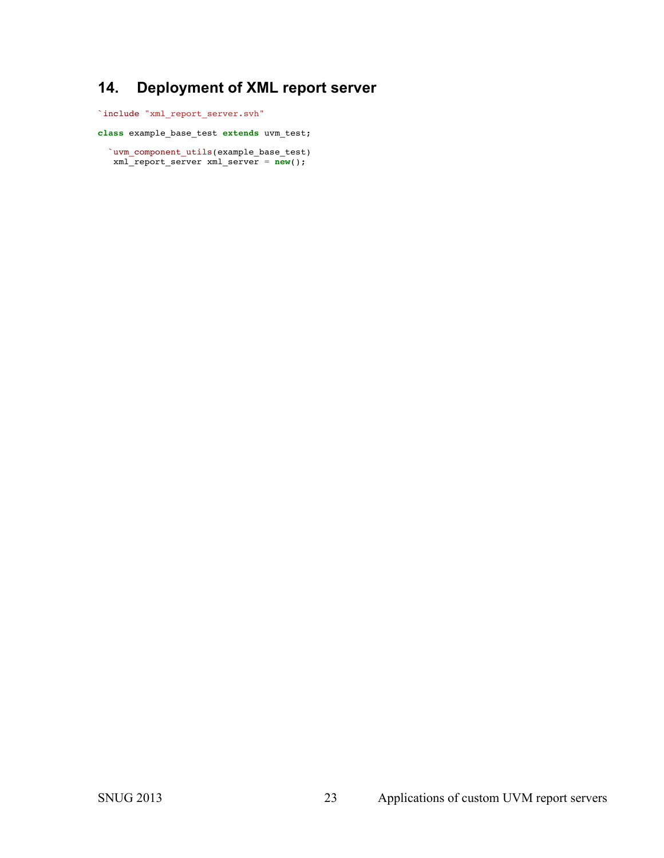# **14. Deployment of XML report server**

`include "xml\_report\_server.svh"

**class** example\_base\_test **extends** uvm\_test;

 `uvm\_component\_utils(example\_base\_test) xml\_report\_server xml\_server = **new**();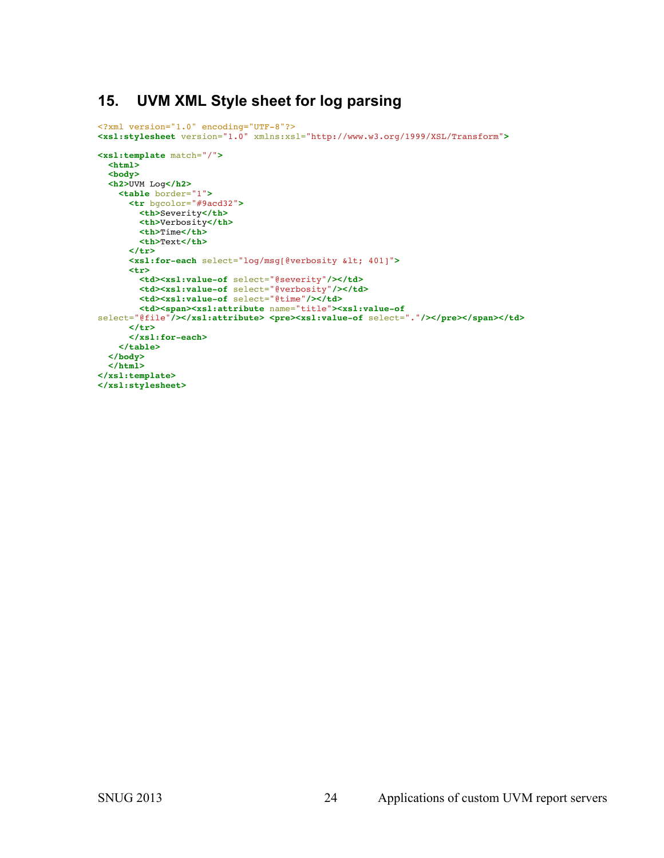## **15. UVM XML Style sheet for log parsing**

```
<?xml version="1.0" encoding="UTF-8"?>
<xsl:stylesheet version="1.0" xmlns:xsl="http://www.w3.org/1999/XSL/Transform">
<xsl:template match="/">
  <html>
   <body>
  <h2>UVM Log</h2>
    <table border="1">
       <tr bgcolor="#9acd32">
        <th>Severity</th>
         <th>Verbosity</th>
        <th>Time</th>
        <th>Text</th>
       </tr>
       <xsl:for-each select="log/msg[@verbosity < 401]">
       <tr>
         <td><xsl:value-of select="@severity"/></td>
        <td><xsl:value-of select="@verbosity"/></td>
         <td><xsl:value-of select="@time"/></td>
         <td><span><xsl:attribute name="title"><xsl:value-of
select="@file"/></xsl:attribute> <pre><xsl:value-of select="."/></pre></span></td>
       </tr>
       </xsl:for-each>
    </table>
  </body>
   </html>
</xsl:template>
</xsl:stylesheet>
```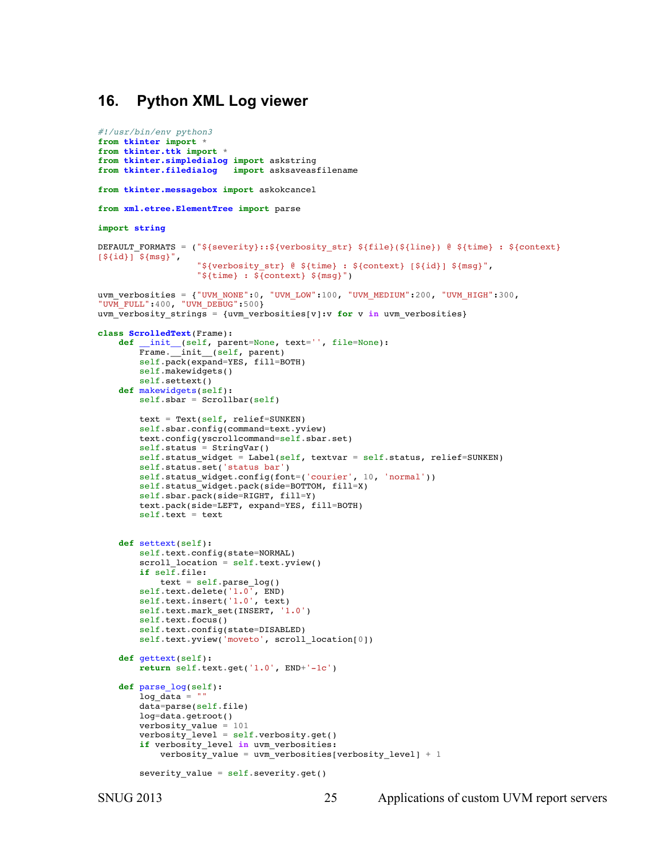### **16. Python XML Log viewer**

```
#!/usr/bin/env python3
from tkinter import *
from tkinter.ttk import *
from tkinter.simpledialog import askstring
from tkinter.filedialog import asksaveasfilename
from tkinter.messagebox import askokcancel 
from xml.etree.ElementTree import parse
import string
DEFAULT FORMATS = ("${severity}::${verbosity str} ${file}(${line}) @ ${time} : ${context}
[${id}] ${msg} ",
                    "${verbosity_str} @ ${time} : ${context} [${id}] ${msg}",
                   "${time} : ${context} ${msg}")
uvm verbosities = {"UVM_NONE":0, "UVM_LOW":100, "UVM_MEDIUM":200, "UVM_HIGH":300,
"UVM_FULL":400, "UVM_DEBUG":500}
uvm_verbosity_strings = {uvm_verbosities[v]:v for v in uvm_verbosities}
class ScrolledText(Frame):
     def __init__(self, parent=None, text='', file=None):
        Frame.<sup>11</sup>init<sub>1</sub>(self, parent)
         self.pack(expand=YES, fill=BOTH) 
         self.makewidgets()
         self.settext()
     def makewidgets(self):
         self.sbar = Scrollbar(self)
        text = Text(self, relief=SUNKEN) self.sbar.config(command=text.yview) 
         text.config(yscrollcommand=self.sbar.set) 
         self.status = StringVar()
        self.status widget = Label(self, textvar = self.status, relief=SUNKEN)
         self.status.set('status bar')
         self.status_widget.config(font=('courier', 10, 'normal'))
        self.status_widget.pack(side=BOTTOM, fill=X)
         self.sbar.pack(side=RIGHT, fill=Y) 
         text.pack(side=LEFT, expand=YES, fill=BOTH) 
         self.text = text
     def settext(self):
        self.text.config(state=NORMAL)
        scroll location = self.text.yview() if self.file: 
             text = self.parse_log()
 self.text.delete('1.0', END) 
 self.text.insert('1.0', text) 
         self.text.mark_set(INSERT, '1.0') 
         self.text.focus()
        self.text.config(state=DISABLED)
         self.text.yview('moveto', scroll_location[0])
     def gettext(self): 
         return self.text.get('1.0', END+'-1c') 
     def parse_log(self):
        log\_data = "" data=parse(self.file)
         log=data.getroot()
         verbosity_value = 101
        verbosity level = self.verbosity.get()
         if verbosity_level in uvm_verbosities:
            verbosity value = uvm verbosities[verbosity level] + 1
         severity_value = self.severity.get()
```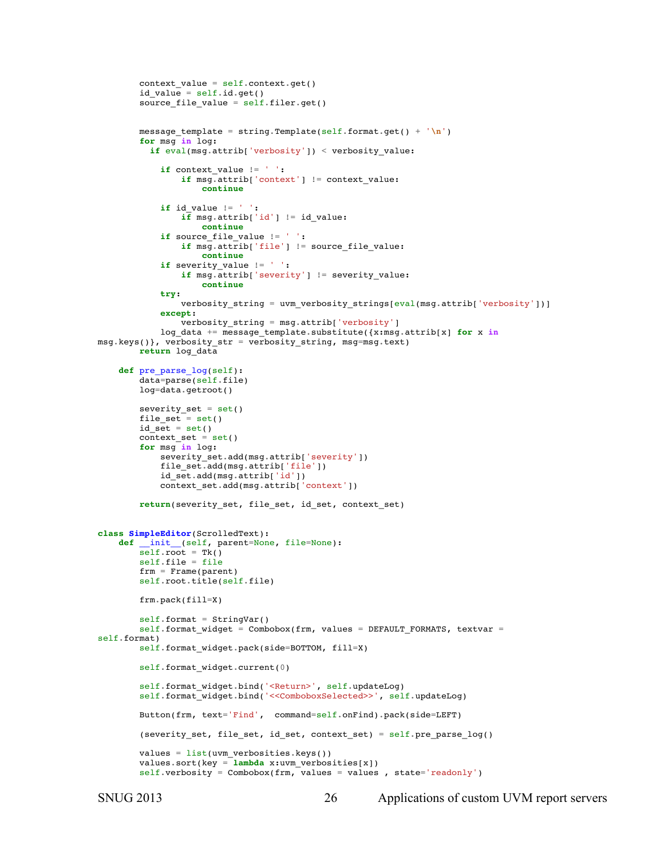```
context value = self.context.get()id_value = self.id.get()source_file_value = self.filer.get() message_template = string.Template(self.format.get() + '\n')
         for msg in log:
           if eval(msg.attrib['verbosity']) < verbosity_value:
             if context_value != ' ':
                 if msg.attrib['context'] != context_value:
                      continue
             if id_value != ' ':
                \overline{\textbf{if}} msq.attrib['id'] != id value:
                     continue
             if source_file_value != ' ':
                if msg.attrib['file'] != source file value:
                     continue
            if severity value != ' ' : if msg.attrib['severity'] != severity_value:
                      continue
             try:
                verbosity string = uvm verbosity strings[eval(msg.attrib['verbosity'])]
             except:
                 verbosity_string = msg.attrib['verbosity']
            log data += message template.substitute({x: msq.attrib[x]} for x in
msg.keys()}, verbosity_str = verbosity_string, msg=msg.text)
         return log_data
     def pre_parse_log(self):
         data=parse(self.file)
         log=data.getroot()
        severity set = set()file set = set()id<sub>set</sub> = set()context set = set() for msg in log:
             severity_set.add(msg.attrib['severity'])
             file_set.add(msg.attrib['file'])
             id_set.add(msg.attrib['id'])
             context_set.add(msg.attrib['context'])
         return(severity_set, file_set, id_set, context_set)
class SimpleEditor(ScrolledText): 
     def __init__(self, parent=None, file=None): 
        self root = Tk() self.file = file
         frm = Frame(parent)
         self.root.title(self.file)
         frm.pack(fill=X)
        self.format = StringVar()self.format\_wide = Combobox(frm, values = DEFAULT_FORMATS, textvar =self.format)
         self.format_widget.pack(side=BOTTOM, fill=X)
         self.format_widget.current(0)
         self.format_widget.bind('<Return>', self.updateLog)
         self.format_widget.bind('<<ComboboxSelected>>', self.updateLog)
         Button(frm, text='Find', command=self.onFind).pack(side=LEFT)
         (severity_set, file_set, id_set, context_set) = self.pre_parse_log()
        values = list(num verbosities.keys())
         values.sort(key = lambda x:uvm_verbosities[x])
        self.verbosity = Combobox(frm, values = values , state='readonly')
```